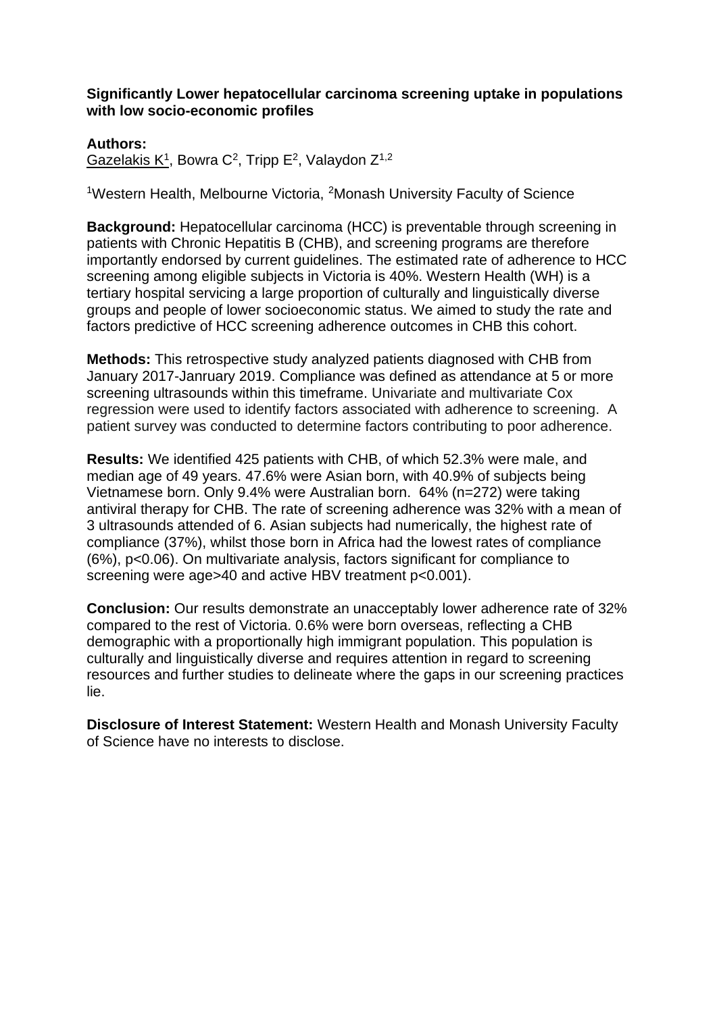## **Significantly Lower hepatocellular carcinoma screening uptake in populations with low socio-economic profiles**

## **Authors:**

Gazelakis K<sup>1</sup>, Bowra C<sup>2</sup>, Tripp E<sup>2</sup>, Valaydon Z<sup>1,2</sup>

<sup>1</sup>Western Health, Melbourne Victoria, <sup>2</sup>Monash University Faculty of Science

**Background:** Hepatocellular carcinoma (HCC) is preventable through screening in patients with Chronic Hepatitis B (CHB), and screening programs are therefore importantly endorsed by current guidelines. The estimated rate of adherence to HCC screening among eligible subjects in Victoria is 40%. Western Health (WH) is a tertiary hospital servicing a large proportion of culturally and linguistically diverse groups and people of lower socioeconomic status. We aimed to study the rate and factors predictive of HCC screening adherence outcomes in CHB this cohort.

**Methods:** This retrospective study analyzed patients diagnosed with CHB from January 2017-Janruary 2019. Compliance was defined as attendance at 5 or more screening ultrasounds within this timeframe. Univariate and multivariate Cox regression were used to identify factors associated with adherence to screening. A patient survey was conducted to determine factors contributing to poor adherence.

**Results:** We identified 425 patients with CHB, of which 52.3% were male, and median age of 49 years. 47.6% were Asian born, with 40.9% of subjects being Vietnamese born. Only 9.4% were Australian born. 64% (n=272) were taking antiviral therapy for CHB. The rate of screening adherence was 32% with a mean of 3 ultrasounds attended of 6. Asian subjects had numerically, the highest rate of compliance (37%), whilst those born in Africa had the lowest rates of compliance (6%), p<0.06). On multivariate analysis, factors significant for compliance to screening were age>40 and active HBV treatment p<0.001).

**Conclusion:** Our results demonstrate an unacceptably lower adherence rate of 32% compared to the rest of Victoria. 0.6% were born overseas, reflecting a CHB demographic with a proportionally high immigrant population. This population is culturally and linguistically diverse and requires attention in regard to screening resources and further studies to delineate where the gaps in our screening practices lie.

**Disclosure of Interest Statement:** Western Health and Monash University Faculty of Science have no interests to disclose.